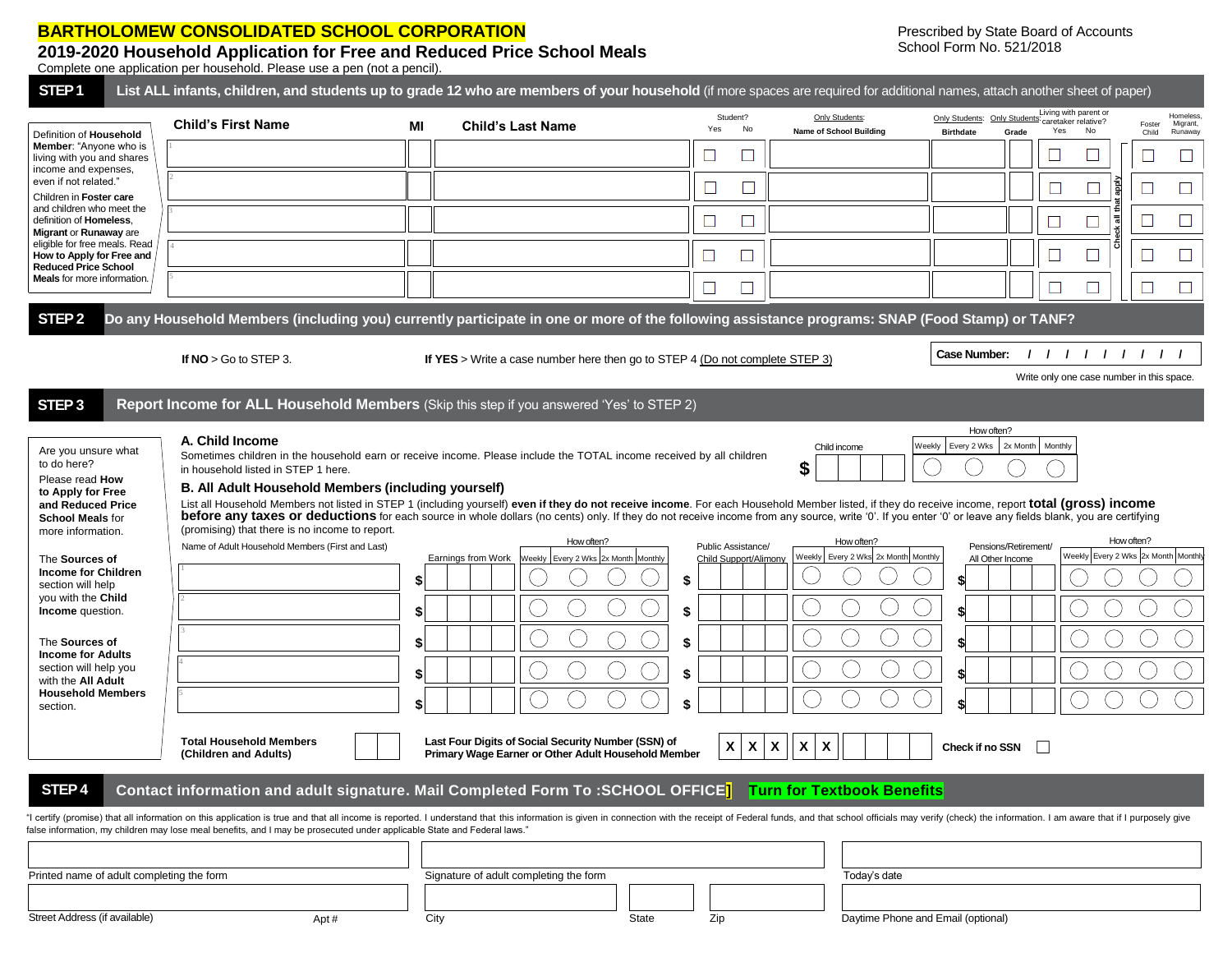## **BARTHOLOMEW CONSOLIDATED SCHOOL CORPORATION**

## **2019-2020 Household Application for Free and Reduced Price School Meals**

Complete one application per household. Please use a pen (not a pencil).

| STEP <sub>1</sub>                                                                                                                                                                                                                                                                                                                                                                                   | List ALL infants, children, and students up to grade 12 who are members of your household (if more spaces are required for additional names, attach another sheet of paper)                                                                                                                                                                                                                                                                                                                                                                                                                                                                                                                                                                                   |                            |                    |                                                                                                            |       |                      |                                             |                                                                         |                                                  |                                                                            |                              |                           |                       |                                                     |
|-----------------------------------------------------------------------------------------------------------------------------------------------------------------------------------------------------------------------------------------------------------------------------------------------------------------------------------------------------------------------------------------------------|---------------------------------------------------------------------------------------------------------------------------------------------------------------------------------------------------------------------------------------------------------------------------------------------------------------------------------------------------------------------------------------------------------------------------------------------------------------------------------------------------------------------------------------------------------------------------------------------------------------------------------------------------------------------------------------------------------------------------------------------------------------|----------------------------|--------------------|------------------------------------------------------------------------------------------------------------|-------|----------------------|---------------------------------------------|-------------------------------------------------------------------------|--------------------------------------------------|----------------------------------------------------------------------------|------------------------------|---------------------------|-----------------------|-----------------------------------------------------|
| Definition of Household                                                                                                                                                                                                                                                                                                                                                                             | <b>Child's First Name</b>                                                                                                                                                                                                                                                                                                                                                                                                                                                                                                                                                                                                                                                                                                                                     | МI                         |                    | <b>Child's Last Name</b>                                                                                   |       | Yes                  | Student?<br>No                              | Only Students:<br><b>Name of School Building</b>                        | Only Students: Only Students<br><b>Birthdate</b> | Grade                                                                      | Living with parent or<br>Yes | caretaker relative?<br>No |                       | Homeless,<br>Migrant,<br>Foster<br>Runaway<br>Child |
| <b>Member:</b> "Anyone who is<br>living with you and shares<br>income and expenses,<br>even if not related."<br>Children in Foster care<br>and children who meet the<br>definition of Homeless.<br>Migrant or Runaway are<br>eligible for free meals. Read<br>How to Apply for Free and                                                                                                             |                                                                                                                                                                                                                                                                                                                                                                                                                                                                                                                                                                                                                                                                                                                                                               |                            |                    |                                                                                                            |       |                      |                                             |                                                                         |                                                  |                                                                            | $\sqcup$                     |                           |                       | $\Box$                                              |
|                                                                                                                                                                                                                                                                                                                                                                                                     |                                                                                                                                                                                                                                                                                                                                                                                                                                                                                                                                                                                                                                                                                                                                                               |                            |                    |                                                                                                            |       |                      |                                             |                                                                         |                                                  |                                                                            |                              |                           | L                     | $\Box$                                              |
|                                                                                                                                                                                                                                                                                                                                                                                                     |                                                                                                                                                                                                                                                                                                                                                                                                                                                                                                                                                                                                                                                                                                                                                               |                            |                    |                                                                                                            |       |                      |                                             |                                                                         |                                                  |                                                                            |                              |                           | ck all that appl<br>⊔ | □                                                   |
|                                                                                                                                                                                                                                                                                                                                                                                                     |                                                                                                                                                                                                                                                                                                                                                                                                                                                                                                                                                                                                                                                                                                                                                               |                            |                    |                                                                                                            |       |                      | $\Box$                                      |                                                                         |                                                  |                                                                            | $\Box$                       |                           | る<br>$\Box$           | $\Box$                                              |
| <b>Reduced Price School</b><br><b>Meals</b> for more information.                                                                                                                                                                                                                                                                                                                                   |                                                                                                                                                                                                                                                                                                                                                                                                                                                                                                                                                                                                                                                                                                                                                               |                            |                    |                                                                                                            |       | ⊔                    | $\Box$                                      |                                                                         |                                                  |                                                                            |                              |                           | $\Box$                | $\Box$                                              |
| STEP <sub>2</sub>                                                                                                                                                                                                                                                                                                                                                                                   | Do any Household Members (including you) currently participate in one or more of the following assistance programs: SNAP (Food Stamp) or TANF?                                                                                                                                                                                                                                                                                                                                                                                                                                                                                                                                                                                                                |                            |                    |                                                                                                            |       |                      |                                             |                                                                         |                                                  |                                                                            |                              |                           |                       |                                                     |
|                                                                                                                                                                                                                                                                                                                                                                                                     | If $NO > Go$ to STEP 3.                                                                                                                                                                                                                                                                                                                                                                                                                                                                                                                                                                                                                                                                                                                                       |                            |                    | If YES > Write a case number here then go to STEP 4 (Do not complete STEP 3)                               |       |                      |                                             |                                                                         | Case Number:                                     |                                                                            |                              | 11111111                  |                       |                                                     |
|                                                                                                                                                                                                                                                                                                                                                                                                     |                                                                                                                                                                                                                                                                                                                                                                                                                                                                                                                                                                                                                                                                                                                                                               |                            |                    |                                                                                                            |       |                      |                                             |                                                                         |                                                  |                                                                            |                              |                           |                       | Write only one case number in this space.           |
| STEP <sub>3</sub>                                                                                                                                                                                                                                                                                                                                                                                   | Report Income for ALL Household Members (Skip this step if you answered 'Yes' to STEP 2)                                                                                                                                                                                                                                                                                                                                                                                                                                                                                                                                                                                                                                                                      |                            |                    |                                                                                                            |       |                      |                                             |                                                                         |                                                  | How often?                                                                 |                              |                           |                       |                                                     |
| Are you unsure what<br>to do here?<br>Please read How<br>to Apply for Free<br>and Reduced Price<br><b>School Meals for</b><br>more information.<br>The Sources of<br><b>Income for Children</b><br>section will help<br>you with the Child<br>Income question.<br>The Sources of<br><b>Income for Adults</b><br>section will help you<br>with the All Adult<br><b>Household Members</b><br>section. | A. Child Income<br>Sometimes children in the household earn or receive income. Please include the TOTAL income received by all children<br>in household listed in STEP 1 here.<br>B. All Adult Household Members (including yourself)<br>List all Household Members not listed in STEP 1 (including yourself) even if they do not receive income. For each Household Member listed, if they do receive income, report total (gross) income<br>before any taxes or deductions for each source in whole dollars (no cents) only. If they do not receive income from any source, write '0'. If you enter '0' or leave any fields blank, you are certifying<br>(promising) that there is no income to report.<br>Name of Adult Household Members (First and Last) | \$<br>\$<br>\$<br>\$<br>\$ | Earnings from Work | How often?<br>Weekly Every 2 Wks 2x Month Monthly                                                          |       | \$<br>\$<br>\$<br>\$ | Public Assistance/<br>Child Support/Alimony | Child income<br>\$<br>How often?<br>Weekly Every 2 Wks 2x Month Monthly | Weekly                                           | Every 2 Wks 2x Month   Monthly<br>Pensions/Retirement/<br>All Other Income |                              |                           | How often?            | Weekly Every 2 Wks 2x Month Monthly                 |
| STEP <sub>4</sub>                                                                                                                                                                                                                                                                                                                                                                                   | <b>Total Household Members</b><br>(Children and Adults)<br>Contact information and adult signature. Mail Completed Form To :SCHOOL OFFICE  Turn for Textbook Benefits                                                                                                                                                                                                                                                                                                                                                                                                                                                                                                                                                                                         |                            |                    | Last Four Digits of Social Security Number (SSN) of<br>Primary Wage Earner or Other Adult Household Member |       |                      | X<br>$\mathbf{x}$                           | $\boldsymbol{\mathsf{X}}$<br>$\boldsymbol{\mathsf{X}}$<br>X             | Check if no SSN                                  |                                                                            |                              |                           |                       |                                                     |
|                                                                                                                                                                                                                                                                                                                                                                                                     | "I certify (promise) that all information on this application is true and that all income is reported. I understand that this information is given in connection with the receipt of Federal funds, and that school officials<br>false information, my children may lose meal benefits, and I may be prosecuted under applicable State and Federal laws."                                                                                                                                                                                                                                                                                                                                                                                                     |                            |                    |                                                                                                            |       |                      |                                             |                                                                         |                                                  |                                                                            |                              |                           |                       |                                                     |
| Printed name of adult completing the form                                                                                                                                                                                                                                                                                                                                                           |                                                                                                                                                                                                                                                                                                                                                                                                                                                                                                                                                                                                                                                                                                                                                               |                            |                    | Signature of adult completing the form                                                                     |       |                      |                                             | Today's date                                                            |                                                  |                                                                            |                              |                           |                       |                                                     |
| Street Address (if available)                                                                                                                                                                                                                                                                                                                                                                       | Apt#                                                                                                                                                                                                                                                                                                                                                                                                                                                                                                                                                                                                                                                                                                                                                          |                            | City               |                                                                                                            | State | Zip                  |                                             | Daytime Phone and Email (optional)                                      |                                                  |                                                                            |                              |                           |                       |                                                     |